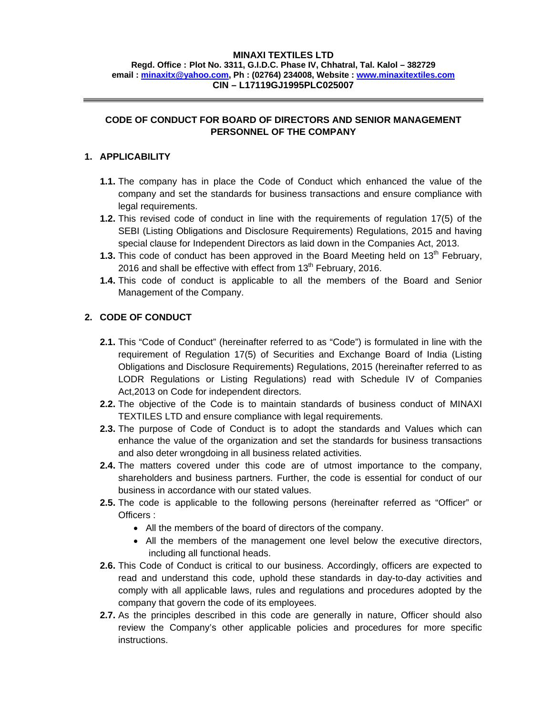#### **MINAXI TEXTILES LTD**

**Regd. Office : Plot No. 3311, G.I.D.C. Phase IV, Chhatral, Tal. Kalol – 382729 email : minaxitx@yahoo.com, Ph : (02764) 234008, Website : www.minaxitextiles.com CIN – L17119GJ1995PLC025007** 

# **CODE OF CONDUCT FOR BOARD OF DIRECTORS AND SENIOR MANAGEMENT PERSONNEL OF THE COMPANY**

## **1. APPLICABILITY**

- **1.1.** The company has in place the Code of Conduct which enhanced the value of the company and set the standards for business transactions and ensure compliance with legal requirements.
- **1.2.** This revised code of conduct in line with the requirements of regulation 17(5) of the SEBI (Listing Obligations and Disclosure Requirements) Regulations, 2015 and having special clause for Independent Directors as laid down in the Companies Act, 2013.
- **1.3.** This code of conduct has been approved in the Board Meeting held on 13<sup>th</sup> February, 2016 and shall be effective with effect from  $13<sup>th</sup>$  February, 2016.
- **1.4.** This code of conduct is applicable to all the members of the Board and Senior Management of the Company.

# **2. CODE OF CONDUCT**

- **2.1.** This "Code of Conduct" (hereinafter referred to as "Code") is formulated in line with the requirement of Regulation 17(5) of Securities and Exchange Board of India (Listing Obligations and Disclosure Requirements) Regulations, 2015 (hereinafter referred to as LODR Regulations or Listing Regulations) read with Schedule IV of Companies Act,2013 on Code for independent directors.
- **2.2.** The objective of the Code is to maintain standards of business conduct of MINAXI TEXTILES LTD and ensure compliance with legal requirements.
- **2.3.** The purpose of Code of Conduct is to adopt the standards and Values which can enhance the value of the organization and set the standards for business transactions and also deter wrongdoing in all business related activities.
- **2.4.** The matters covered under this code are of utmost importance to the company, shareholders and business partners. Further, the code is essential for conduct of our business in accordance with our stated values.
- **2.5.** The code is applicable to the following persons (hereinafter referred as "Officer" or Officers :
	- All the members of the board of directors of the company.
	- All the members of the management one level below the executive directors, including all functional heads.
- **2.6.** This Code of Conduct is critical to our business. Accordingly, officers are expected to read and understand this code, uphold these standards in day-to-day activities and comply with all applicable laws, rules and regulations and procedures adopted by the company that govern the code of its employees.
- **2.7.** As the principles described in this code are generally in nature, Officer should also review the Company's other applicable policies and procedures for more specific instructions.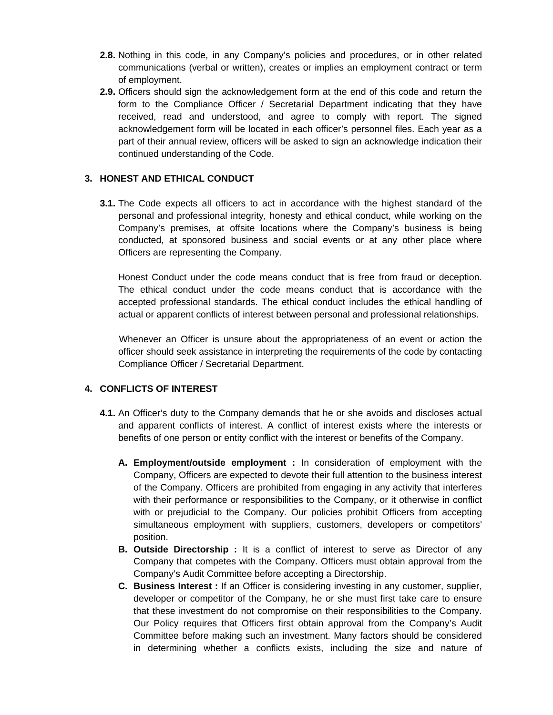- **2.8.** Nothing in this code, in any Company's policies and procedures, or in other related communications (verbal or written), creates or implies an employment contract or term of employment.
- **2.9.** Officers should sign the acknowledgement form at the end of this code and return the form to the Compliance Officer / Secretarial Department indicating that they have received, read and understood, and agree to comply with report. The signed acknowledgement form will be located in each officer's personnel files. Each year as a part of their annual review, officers will be asked to sign an acknowledge indication their continued understanding of the Code.

## **3. HONEST AND ETHICAL CONDUCT**

**3.1.** The Code expects all officers to act in accordance with the highest standard of the personal and professional integrity, honesty and ethical conduct, while working on the Company's premises, at offsite locations where the Company's business is being conducted, at sponsored business and social events or at any other place where Officers are representing the Company.

Honest Conduct under the code means conduct that is free from fraud or deception. The ethical conduct under the code means conduct that is accordance with the accepted professional standards. The ethical conduct includes the ethical handling of actual or apparent conflicts of interest between personal and professional relationships.

 Whenever an Officer is unsure about the appropriateness of an event or action the officer should seek assistance in interpreting the requirements of the code by contacting Compliance Officer / Secretarial Department.

#### **4. CONFLICTS OF INTEREST**

- **4.1.** An Officer's duty to the Company demands that he or she avoids and discloses actual and apparent conflicts of interest. A conflict of interest exists where the interests or benefits of one person or entity conflict with the interest or benefits of the Company.
	- **A. Employment/outside employment :** In consideration of employment with the Company, Officers are expected to devote their full attention to the business interest of the Company. Officers are prohibited from engaging in any activity that interferes with their performance or responsibilities to the Company, or it otherwise in conflict with or prejudicial to the Company. Our policies prohibit Officers from accepting simultaneous employment with suppliers, customers, developers or competitors' position.
	- **B. Outside Directorship :** It is a conflict of interest to serve as Director of any Company that competes with the Company. Officers must obtain approval from the Company's Audit Committee before accepting a Directorship.
	- **C. Business Interest :** If an Officer is considering investing in any customer, supplier, developer or competitor of the Company, he or she must first take care to ensure that these investment do not compromise on their responsibilities to the Company. Our Policy requires that Officers first obtain approval from the Company's Audit Committee before making such an investment. Many factors should be considered in determining whether a conflicts exists, including the size and nature of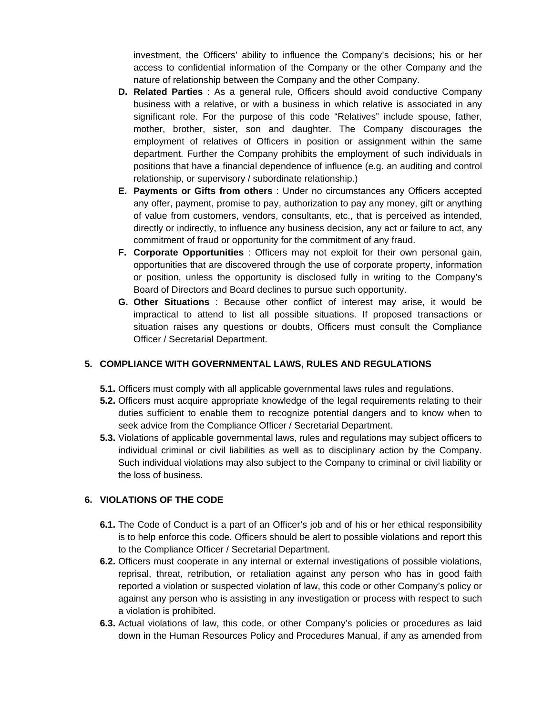investment, the Officers' ability to influence the Company's decisions; his or her access to confidential information of the Company or the other Company and the nature of relationship between the Company and the other Company.

- **D. Related Parties** : As a general rule, Officers should avoid conductive Company business with a relative, or with a business in which relative is associated in any significant role. For the purpose of this code "Relatives" include spouse, father, mother, brother, sister, son and daughter. The Company discourages the employment of relatives of Officers in position or assignment within the same department. Further the Company prohibits the employment of such individuals in positions that have a financial dependence of influence (e.g. an auditing and control relationship, or supervisory / subordinate relationship.)
- **E. Payments or Gifts from others** : Under no circumstances any Officers accepted any offer, payment, promise to pay, authorization to pay any money, gift or anything of value from customers, vendors, consultants, etc., that is perceived as intended, directly or indirectly, to influence any business decision, any act or failure to act, any commitment of fraud or opportunity for the commitment of any fraud.
- **F. Corporate Opportunities** : Officers may not exploit for their own personal gain, opportunities that are discovered through the use of corporate property, information or position, unless the opportunity is disclosed fully in writing to the Company's Board of Directors and Board declines to pursue such opportunity.
- **G. Other Situations** : Because other conflict of interest may arise, it would be impractical to attend to list all possible situations. If proposed transactions or situation raises any questions or doubts, Officers must consult the Compliance Officer / Secretarial Department.

## **5. COMPLIANCE WITH GOVERNMENTAL LAWS, RULES AND REGULATIONS**

- **5.1.** Officers must comply with all applicable governmental laws rules and regulations.
- **5.2.** Officers must acquire appropriate knowledge of the legal requirements relating to their duties sufficient to enable them to recognize potential dangers and to know when to seek advice from the Compliance Officer / Secretarial Department.
- **5.3.** Violations of applicable governmental laws, rules and regulations may subject officers to individual criminal or civil liabilities as well as to disciplinary action by the Company. Such individual violations may also subject to the Company to criminal or civil liability or the loss of business.

# **6. VIOLATIONS OF THE CODE**

- **6.1.** The Code of Conduct is a part of an Officer's job and of his or her ethical responsibility is to help enforce this code. Officers should be alert to possible violations and report this to the Compliance Officer / Secretarial Department.
- **6.2.** Officers must cooperate in any internal or external investigations of possible violations, reprisal, threat, retribution, or retaliation against any person who has in good faith reported a violation or suspected violation of law, this code or other Company's policy or against any person who is assisting in any investigation or process with respect to such a violation is prohibited.
- **6.3.** Actual violations of law, this code, or other Company's policies or procedures as laid down in the Human Resources Policy and Procedures Manual, if any as amended from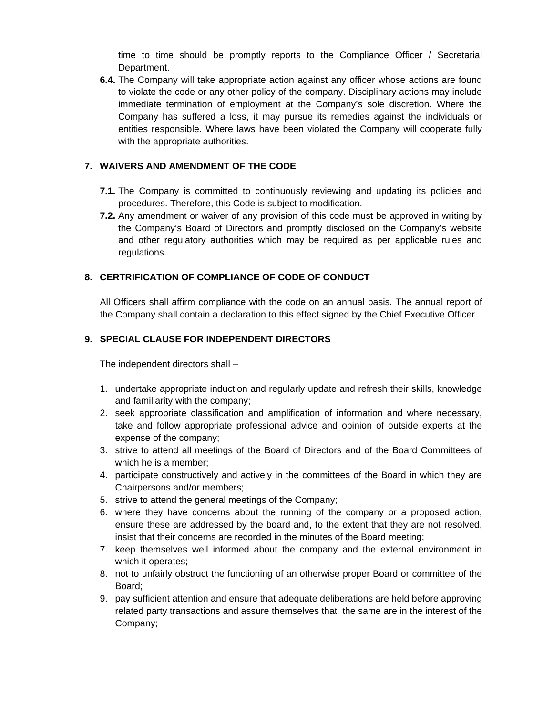time to time should be promptly reports to the Compliance Officer / Secretarial Department.

**6.4.** The Company will take appropriate action against any officer whose actions are found to violate the code or any other policy of the company. Disciplinary actions may include immediate termination of employment at the Company's sole discretion. Where the Company has suffered a loss, it may pursue its remedies against the individuals or entities responsible. Where laws have been violated the Company will cooperate fully with the appropriate authorities.

# **7. WAIVERS AND AMENDMENT OF THE CODE**

- **7.1.** The Company is committed to continuously reviewing and updating its policies and procedures. Therefore, this Code is subject to modification.
- **7.2.** Any amendment or waiver of any provision of this code must be approved in writing by the Company's Board of Directors and promptly disclosed on the Company's website and other regulatory authorities which may be required as per applicable rules and regulations.

# **8. CERTRIFICATION OF COMPLIANCE OF CODE OF CONDUCT**

All Officers shall affirm compliance with the code on an annual basis. The annual report of the Company shall contain a declaration to this effect signed by the Chief Executive Officer.

# **9. SPECIAL CLAUSE FOR INDEPENDENT DIRECTORS**

The independent directors shall –

- 1. undertake appropriate induction and regularly update and refresh their skills, knowledge and familiarity with the company;
- 2. seek appropriate classification and amplification of information and where necessary, take and follow appropriate professional advice and opinion of outside experts at the expense of the company;
- 3. strive to attend all meetings of the Board of Directors and of the Board Committees of which he is a member;
- 4. participate constructively and actively in the committees of the Board in which they are Chairpersons and/or members;
- 5. strive to attend the general meetings of the Company;
- 6. where they have concerns about the running of the company or a proposed action, ensure these are addressed by the board and, to the extent that they are not resolved, insist that their concerns are recorded in the minutes of the Board meeting;
- 7. keep themselves well informed about the company and the external environment in which it operates;
- 8. not to unfairly obstruct the functioning of an otherwise proper Board or committee of the Board;
- 9. pay sufficient attention and ensure that adequate deliberations are held before approving related party transactions and assure themselves that the same are in the interest of the Company;